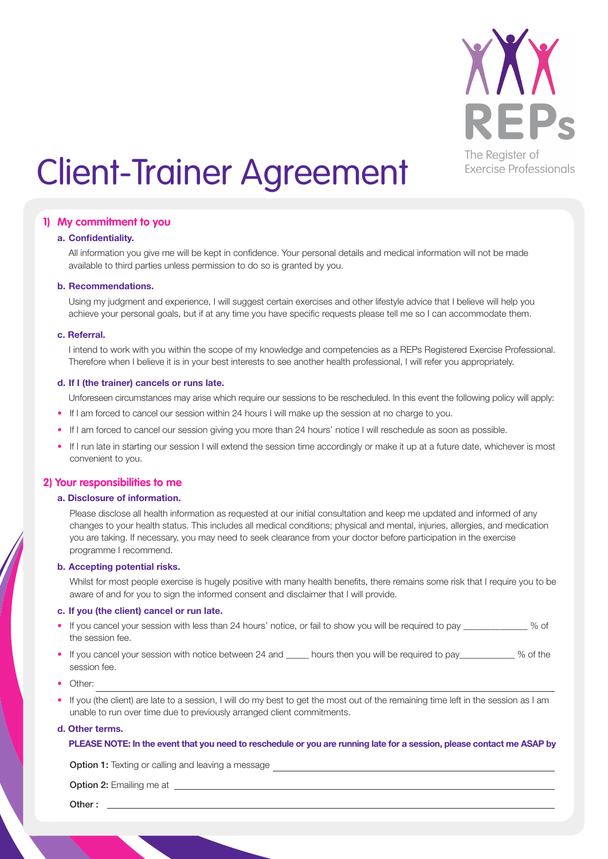

# Client-Trainer Agreement

## **1) My commitment to you**

#### **a. Confidentiality.**

All information you give me will be kept in confidence. Your personal details and medical information will not be made available to third parties unless permission to do so is granted by you.

### **b. Recommendations.**

Using my judgment and experience, I will suggest certain exercises and other lifestyle advice that I believe will help you achieve your personal goals, but if at any time you have specific requests please tell me so I can accommodate them.

#### **c. Referral.**

I intend to work with you within the scope of my knowledge and competencies as a REPs Registered Exercise Professional. Therefore when I believe it is in your best interests to see another health professional, I will refer you appropriately.

#### **d. If I (the trainer) cancels or runs late.**

Unforeseen circumstances may arise which require our sessions to be rescheduled. In this event the following policy will apply:

- If I am forced to cancel our session within 24 hours I will make up the session at no charge to you.
- If I am forced to cancel our session giving you more than 24 hours' notice I will reschedule as soon as possible.
- If I run late in starting our session I will extend the session time accordingly or make it up at a future date, whichever is most convenient to you.

## **2) Your responsibilities to me**

#### **a. Disclosure of information.**

Please disclose all health information as requested at our initial consultation and keep me updated and informed of any changes to your health status. This includes all medical conditions; physical and mental, injuries, allergies, and medication you are taking. If necessary, you may need to seek clearance from your doctor before participation in the exercise programme I recommend.

### **b. Accepting potential risks.**

Whilst for most people exercise is hugely positive with many health benefits, there remains some risk that I require you to be aware of and for you to sign the informed consent and disclaimer that I will provide.

### **c. If you (the client) cancel or run late.**

- If you cancel your session with less than 24 hours' notice, or fail to show you will be required to pay \_\_\_\_\_\_\_\_ % of the session fee.
- If you cancel your session with notice between 24 and Let hours then you will be required to pay and S % of the session fee.
- Other:
- If you (the client) are late to a session, I will do my best to get the most out of the remaining time left in the session as I am unable to run over time due to previously arranged client commitments.

#### **d. Other terms.**

#### **PLEASE NOTE: In the event that you need to reschedule or you are running late for a session, please contact me ASAP by**

**Option 1:** Texting or calling and leaving a message

Option 2: Emailing me at

Other :